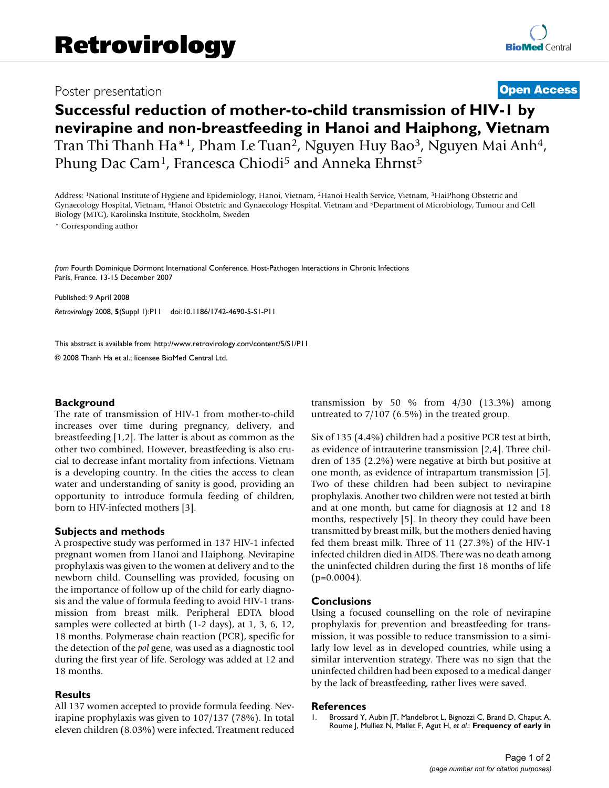## Poster presentation **[Open Access](http://www.biomedcentral.com/info/about/charter/)**

# **Successful reduction of mother-to-child transmission of HIV-1 by nevirapine and non-breastfeeding in Hanoi and Haiphong, Vietnam** Tran Thi Thanh Ha<sup>\*1</sup>, Pham Le Tuan<sup>2</sup>, Nguyen Huy Bao<sup>3</sup>, Nguyen Mai Anh<sup>4</sup>, Phung Dac Cam<sup>1</sup>, Francesca Chiodi<sup>5</sup> and Anneka Ehrnst<sup>5</sup>

Address: 1National Institute of Hygiene and Epidemiology, Hanoi, Vietnam, 2Hanoi Health Service, Vietnam, 3HaiPhong Obstetric and Gynaecology Hospital, Vietnam, 4Hanoi Obstetric and Gynaecology Hospital. Vietnam and 5Department of Microbiology, Tumour and Cell Biology (MTC), Karolinska Institute, Stockholm, Sweden

\* Corresponding author

*from* Fourth Dominique Dormont International Conference. Host-Pathogen Interactions in Chronic Infections Paris, France. 13-15 December 2007

Published: 9 April 2008 *Retrovirology* 2008, **5**(Suppl 1):P11 doi:10.1186/1742-4690-5-S1-P11

[This abstract is available from: http://www.retrovirology.com/content/5/S1/P11](http://www.retrovirology.com/content/5/S1/P11)

© 2008 Thanh Ha et al.; licensee BioMed Central Ltd.

### **Background**

The rate of transmission of HIV-1 from mother-to-child increases over time during pregnancy, delivery, and breastfeeding [1,2]. The latter is about as common as the other two combined. However, breastfeeding is also crucial to decrease infant mortality from infections. Vietnam is a developing country. In the cities the access to clean water and understanding of sanity is good, providing an opportunity to introduce formula feeding of children, born to HIV-infected mothers [3].

#### **Subjects and methods**

A prospective study was performed in 137 HIV-1 infected pregnant women from Hanoi and Haiphong. Nevirapine prophylaxis was given to the women at delivery and to the newborn child. Counselling was provided, focusing on the importance of follow up of the child for early diagnosis and the value of formula feeding to avoid HIV-1 transmission from breast milk. Peripheral EDTA blood samples were collected at birth (1-2 days), at 1, 3, 6, 12, 18 months. Polymerase chain reaction (PCR), specific for the detection of the *pol* gene, was used as a diagnostic tool during the first year of life. Serology was added at 12 and 18 months.

#### **Results**

All 137 women accepted to provide formula feeding. Nevirapine prophylaxis was given to 107/137 (78%). In total eleven children (8.03%) were infected. Treatment reduced transmission by 50 % from  $4/30$  (13.3%) among untreated to 7/107 (6.5%) in the treated group.

Six of 135 (4.4%) children had a positive PCR test at birth, as evidence of intrauterine transmission [2,4]. Three children of 135 (2.2%) were negative at birth but positive at one month, as evidence of intrapartum transmission [5]. Two of these children had been subject to nevirapine prophylaxis. Another two children were not tested at birth and at one month, but came for diagnosis at 12 and 18 months, respectively [5]. In theory they could have been transmitted by breast milk, but the mothers denied having fed them breast milk. Three of 11 (27.3%) of the HIV-1 infected children died in AIDS. There was no death among the uninfected children during the first 18 months of life  $(p=0.0004)$ .

#### **Conclusions**

Using a focused counselling on the role of nevirapine prophylaxis for prevention and breastfeeding for transmission, it was possible to reduce transmission to a similarly low level as in developed countries, while using a similar intervention strategy. There was no sign that the uninfected children had been exposed to a medical danger by the lack of breastfeeding, rather lives were saved.

#### **References**

1. Brossard Y, Aubin JT, Mandelbrot L, Bignozzi C, Brand D, Chaput A, Roume J, Mulliez N, Mallet F, Agut H, *et al.*: **[Frequency of early in](http://www.ncbi.nlm.nih.gov/entrez/query.fcgi?cmd=Retrieve&db=PubMed&dopt=Abstract&list_uids=7794540)**